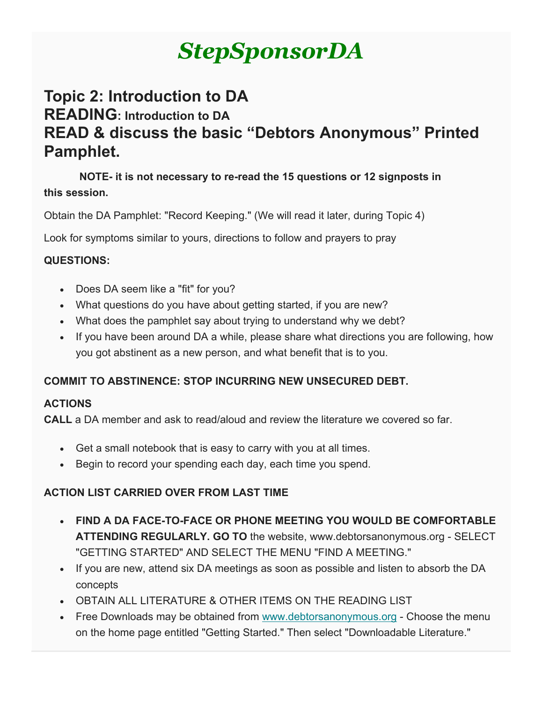# *StepSponsorDA*

## **Topic 2: Introduction to DA READING: Introduction to DA READ & discuss the basic "Debtors Anonymous" Printed Pamphlet.**

 **NOTE- it is not necessary to re-read the 15 questions or 12 signposts in this session.**

Obtain the DA Pamphlet: "Record Keeping." (We will read it later, during Topic 4)

Look for symptoms similar to yours, directions to follow and prayers to pray

#### **QUESTIONS:**

- Does DA seem like a "fit" for you?
- What questions do you have about getting started, if you are new?
- What does the pamphlet say about trying to understand why we debt?
- If you have been around DA a while, please share what directions you are following, how you got abstinent as a new person, and what benefit that is to you.

#### **COMMIT TO ABSTINENCE: STOP INCURRING NEW UNSECURED DEBT.**

#### **ACTIONS**

**CALL** a DA member and ask to read/aloud and review the literature we covered so far.

- Get a small notebook that is easy to carry with you at all times.
- Begin to record your spending each day, each time you spend.

#### **ACTION LIST CARRIED OVER FROM LAST TIME**

- **FIND A DA FACE-TO-FACE OR PHONE MEETING YOU WOULD BE COMFORTABLE ATTENDING REGULARLY. GO TO** the website, www.debtorsanonymous.org - SELECT "GETTING STARTED" AND SELECT THE MENU "FIND A MEETING."
- If you are new, attend six DA meetings as soon as possible and listen to absorb the DA concepts
- OBTAIN ALL LITERATURE & OTHER ITEMS ON THE READING LIST
- Free Downloads may be obtained from [www.debtorsanonymous.org](http://www.debtorsanonymous.org/) Choose the menu on the home page entitled "Getting Started." Then select "Downloadable Literature."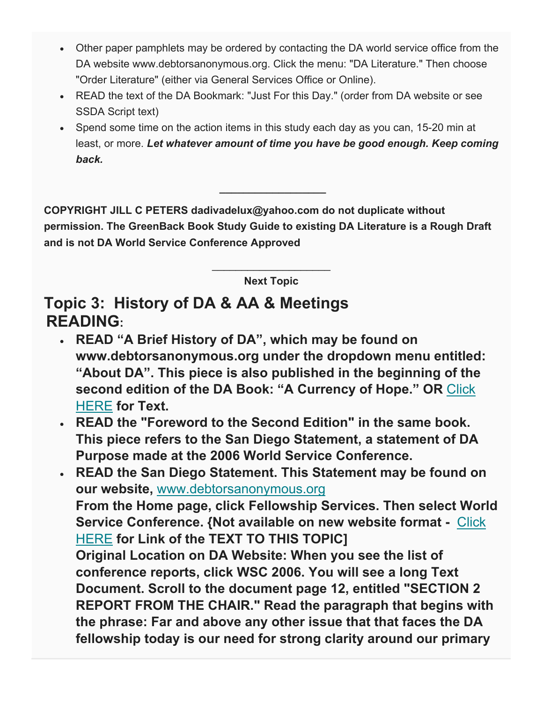- Other paper pamphlets may be ordered by contacting the DA world service office from the DA website www.debtorsanonymous.org. Click the menu: "DA Literature." Then choose "Order Literature" (either via General Services Office or Online).
- READ the text of the DA Bookmark: "Just For this Day." (order from DA website or see SSDA Script text)
- Spend some time on the action items in this study each day as you can, 15-20 min at least, or more. *Let whatever amount of time you have be good enough. Keep coming back.*

**COPYRIGHT JILL C PETERS dadivadelux@yahoo.com do not duplicate without permission. The GreenBack Book Study Guide to existing DA Literature is a Rough Draft and is not DA World Service Conference Approved**

**\_\_\_\_\_\_\_\_\_\_\_\_\_\_\_\_\_\_**

 $\overline{\phantom{a}}$  , where  $\overline{\phantom{a}}$  , where  $\overline{\phantom{a}}$  , where  $\overline{\phantom{a}}$ **Next Topic**

### **Topic 3: History of DA & AA & Meetings READING:**

- **READ "A Brief History of DA", which may be found on www.debtorsanonymous.org under the dropdown menu entitled: "About DA". This piece is also published in the beginning of the second edition of the DA Book: "A Currency of Hope." OR** [Click](https://gallery.mailchimp.com/1408c21f70032c33cd3b1c626/files/9177ffb6-73ec-4b10-a762-252b6031fd94/DA_Text_of_the_History_of_DA_for_TOPIC_3_PrintablePDF.pdf)  [HERE](https://gallery.mailchimp.com/1408c21f70032c33cd3b1c626/files/9177ffb6-73ec-4b10-a762-252b6031fd94/DA_Text_of_the_History_of_DA_for_TOPIC_3_PrintablePDF.pdf) **for Text.**
- **READ the "Foreword to the Second Edition" in the same book. This piece refers to the San Diego Statement, a statement of DA Purpose made at the 2006 World Service Conference.**
- **READ the San Diego Statement. This Statement may be found on our website,** [www.debtorsanonymous.org](http://www.debtorsanonymous.org/) **From the Home page, click Fellowship Services. Then select World Service Conference. {Not available on new website format -** [Click](https://gallery.mailchimp.com/1408c21f70032c33cd3b1c626/files/da85a13a-a0fd-47dd-a793-1813dee1cacc/DA_Text_of_San_Diego_Statement_for_TOPIC_3_PrintablePDF.pdf)  [HERE](https://gallery.mailchimp.com/1408c21f70032c33cd3b1c626/files/da85a13a-a0fd-47dd-a793-1813dee1cacc/DA_Text_of_San_Diego_Statement_for_TOPIC_3_PrintablePDF.pdf) **for Link of the TEXT TO THIS TOPIC] Original Location on DA Website: When you see the list of conference reports, click WSC 2006. You will see a long Text Document. Scroll to the document page 12, entitled "SECTION 2 REPORT FROM THE CHAIR." Read the paragraph that begins with the phrase: Far and above any other issue that that faces the DA fellowship today is our need for strong clarity around our primary**